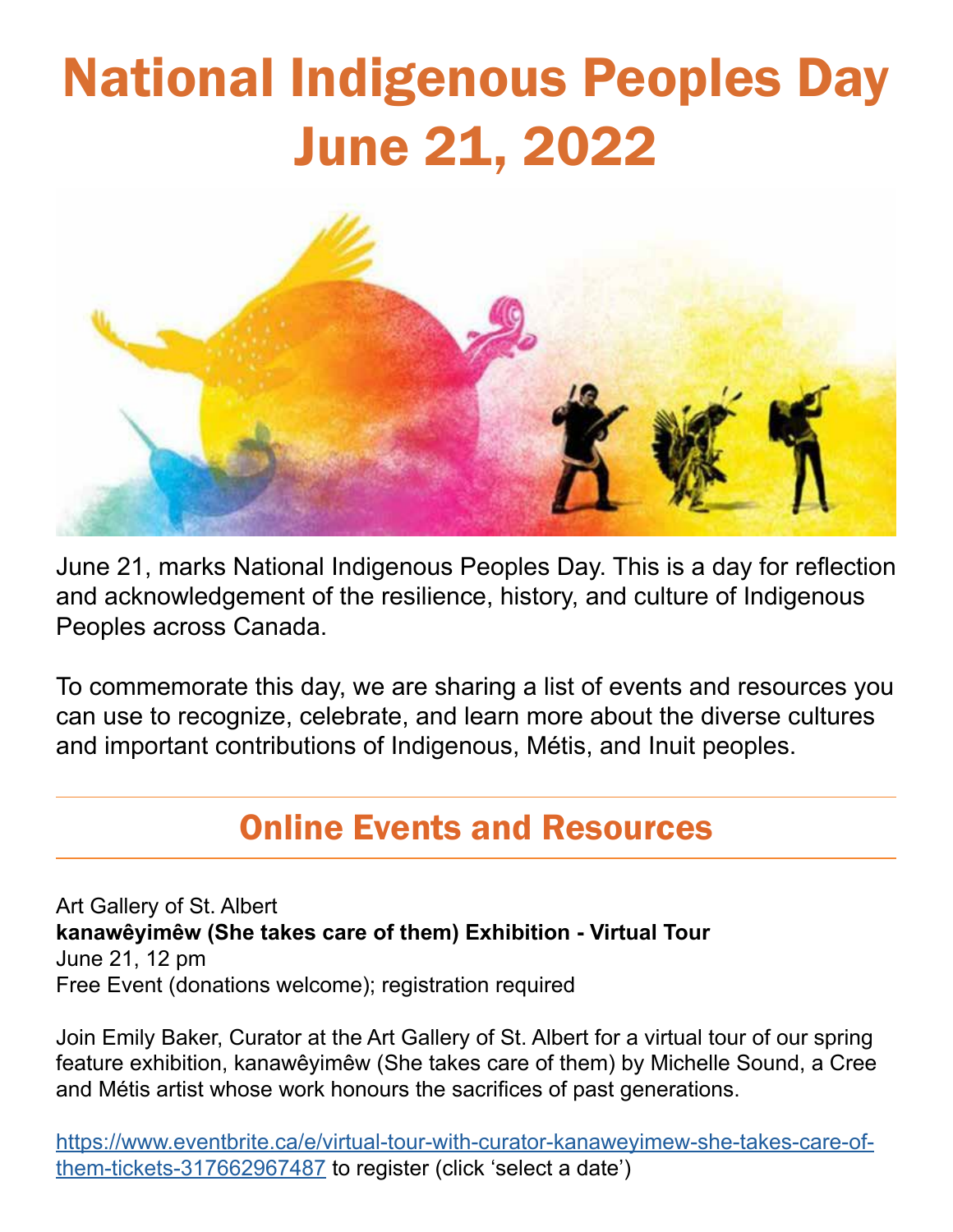# National Indigenous Peoples Day June 21, 2022



June 21, marks National Indigenous Peoples Day. This is a day for reflection and acknowledgement of the resilience, history, and culture of Indigenous Peoples across Canada.

To commemorate this day, we are sharing a list of events and resources you can use to recognize, celebrate, and learn more about the diverse cultures and important contributions of Indigenous, Métis, and Inuit peoples.

## Online Events and Resources

Art Gallery of St. Albert **kanawêyimêw (She takes care of them) Exhibition - Virtual Tour** June 21, 12 pm Free Event (donations welcome); registration required

Join Emily Baker, Curator at the Art Gallery of St. Albert for a virtual tour of our spring feature exhibition, kanawêyimêw (She takes care of them) by Michelle Sound, a Cree and Métis artist whose work honours the sacrifices of past generations.

https://www.eventbrite.ca/e/virtual-tour-with-curator-kanaweyimew-she-takes-care-ofthem-tickets-317662967487 to register (click 'select a date')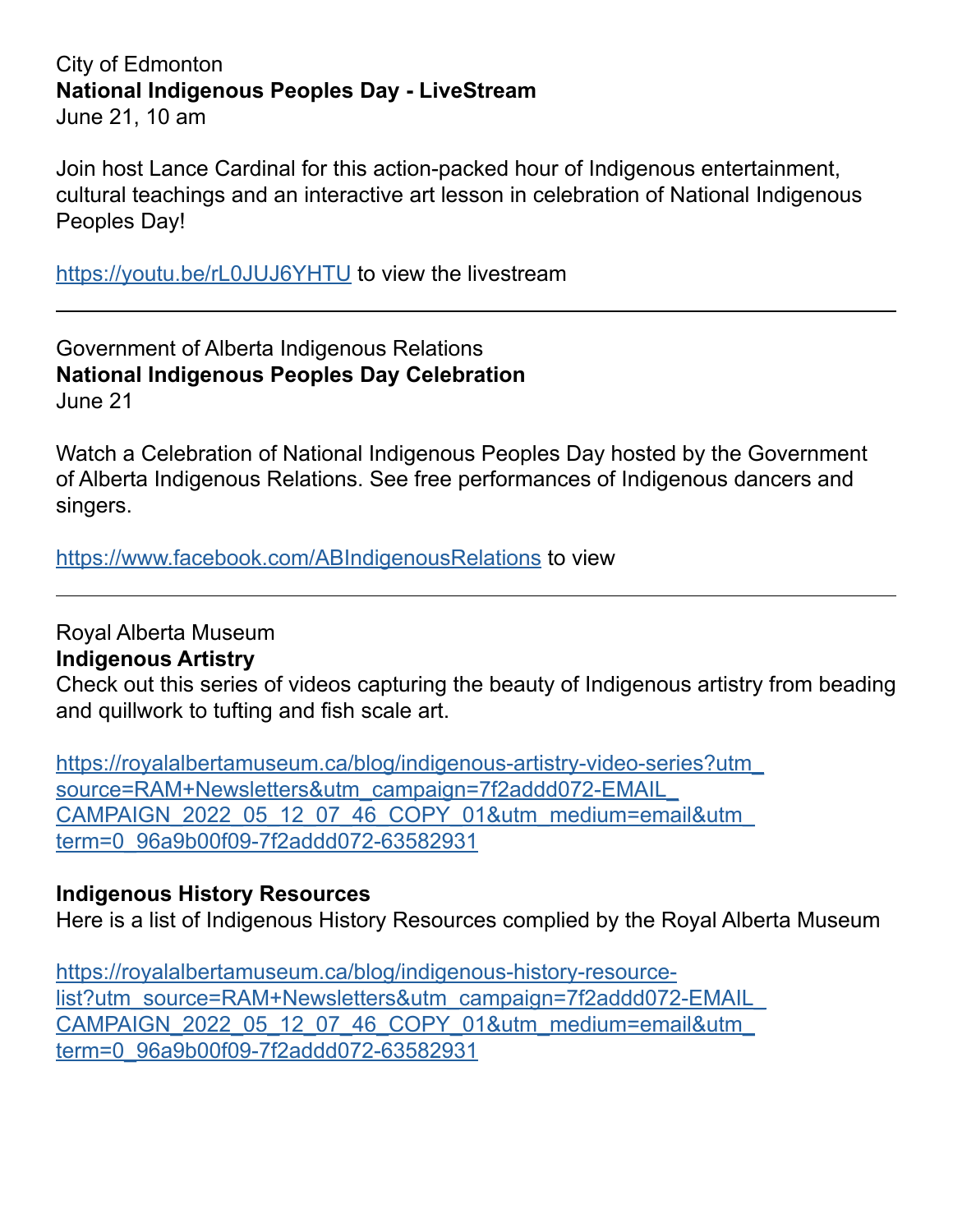#### City of Edmonton **National Indigenous Peoples Day - LiveStream** June 21, 10 am

Join host Lance Cardinal for this action-packed hour of Indigenous entertainment, cultural teachings and an interactive art lesson in celebration of National Indigenous Peoples Day!

https://youtu.be/rL0JUJ6YHTU to view the livestream

Government of Alberta Indigenous Relations **National Indigenous Peoples Day Celebration** June 21

Watch a Celebration of National Indigenous Peoples Day hosted by the Government of Alberta Indigenous Relations. See free performances of Indigenous dancers and singers.

https://www.facebook.com/ABIndigenousRelations to view

Royal Alberta Museum **Indigenous Artistry** Check out this series of videos capturing the beauty of Indigenous artistry from beading and quillwork to tufting and fish scale art.

https://royalalbertamuseum.ca/blog/indigenous-artistry-video-series?utm\_ source=RAM+Newsletters&utm\_campaign=7f2addd072-EMAIL\_ CAMPAIGN\_2022\_05\_12\_07\_46\_COPY\_01&utm\_medium=email&utm\_ term=0\_96a9b00f09-7f2addd072-63582931

#### **Indigenous History Resources**

Here is a list of Indigenous History Resources complied by the Royal Alberta Museum

https://royalalbertamuseum.ca/blog/indigenous-history-resourcelist?utm\_source=RAM+Newsletters&utm\_campaign=7f2addd072-EMAIL CAMPAIGN\_2022\_05\_12\_07\_46\_COPY\_01&utm\_medium=email&utm\_ term=0\_96a9b00f09-7f2addd072-63582931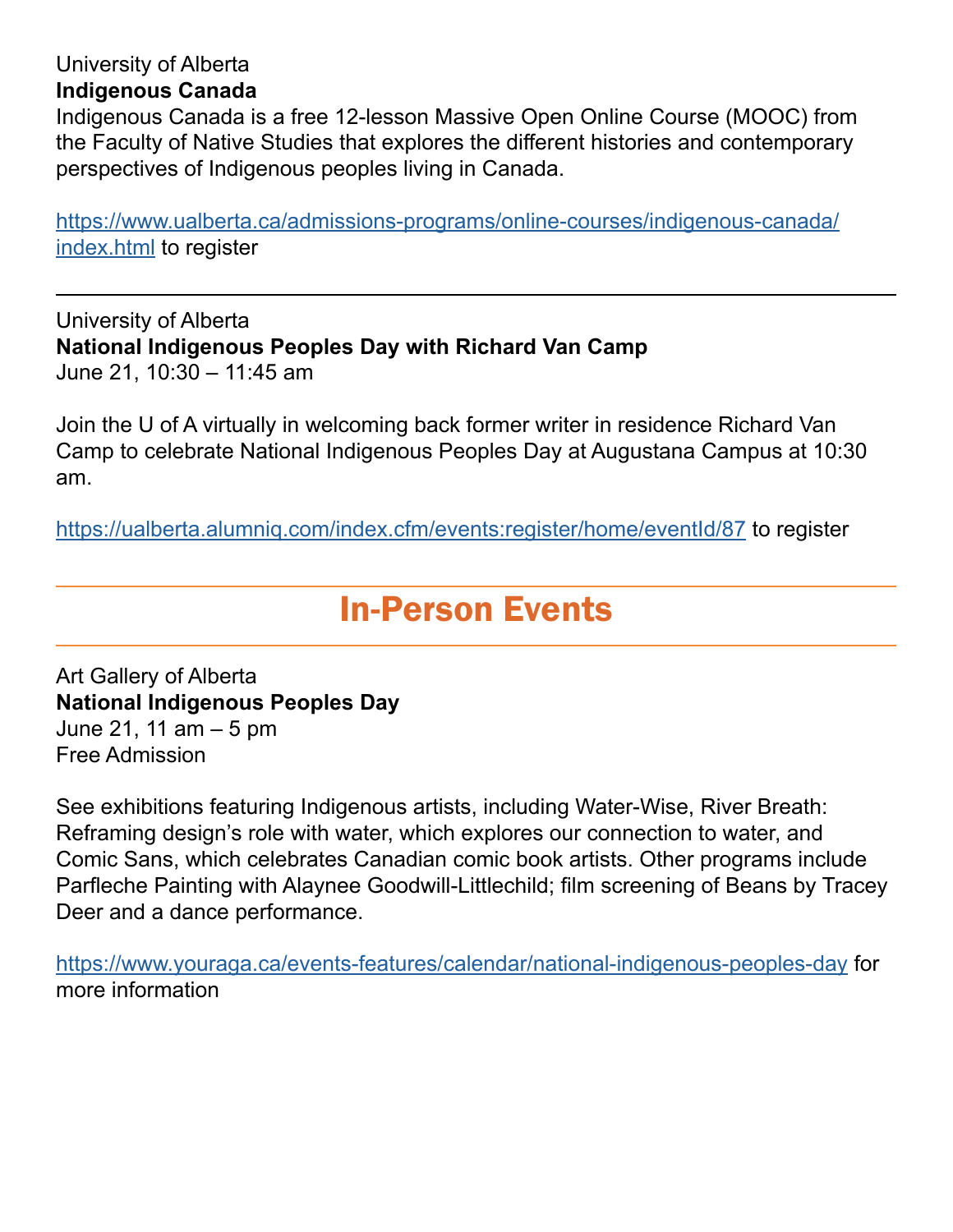#### University of Alberta **Indigenous Canada**

Indigenous Canada is a free 12-lesson Massive Open Online Course (MOOC) from the Faculty of Native Studies that explores the different histories and contemporary perspectives of Indigenous peoples living in Canada.

https://www.ualberta.ca/admissions-programs/online-courses/indigenous-canada/ index.html to register

University of Alberta **National Indigenous Peoples Day with Richard Van Camp** June 21, 10:30 – 11:45 am

Join the U of A virtually in welcoming back former writer in residence Richard Van Camp to celebrate National Indigenous Peoples Day at Augustana Campus at 10:30 am.

https://ualberta.alumniq.com/index.cfm/events:register/home/eventId/87 to register

### In-Person Events

Art Gallery of Alberta **National Indigenous Peoples Day** June 21, 11 am – 5 pm Free Admission

See exhibitions featuring Indigenous artists, including Water-Wise, River Breath: Reframing design's role with water, which explores our connection to water, and Comic Sans, which celebrates Canadian comic book artists. Other programs include Parfleche Painting with Alaynee Goodwill-Littlechild; film screening of Beans by Tracey Deer and a dance performance.

https://www.youraga.ca/events-features/calendar/national-indigenous-peoples-day for more information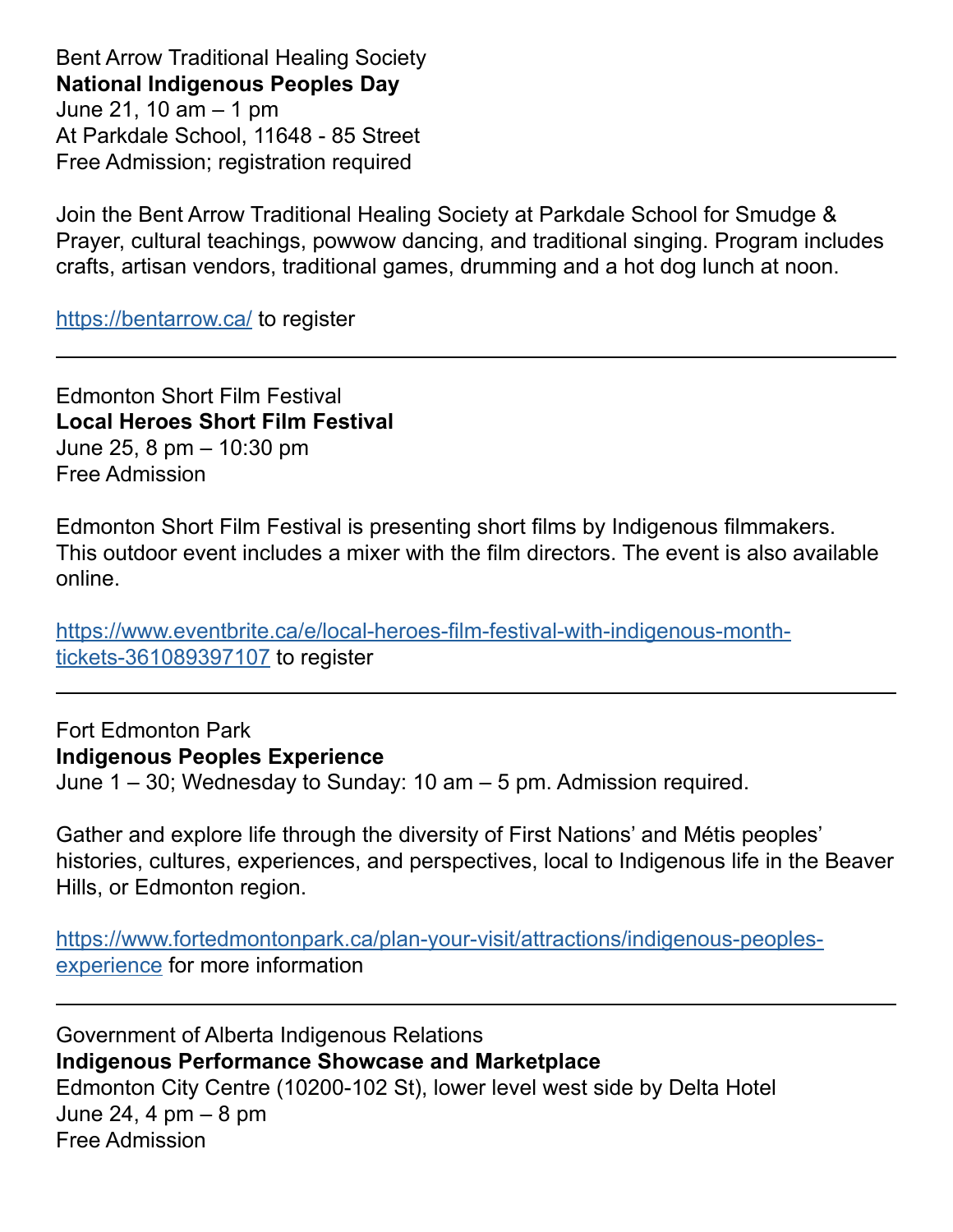Bent Arrow Traditional Healing Society **National Indigenous Peoples Day** June 21, 10 am – 1 pm At Parkdale School, 11648 - 85 Street Free Admission; registration required

Join the Bent Arrow Traditional Healing Society at Parkdale School for Smudge & Prayer, cultural teachings, powwow dancing, and traditional singing. Program includes crafts, artisan vendors, traditional games, drumming and a hot dog lunch at noon.

https://bentarrow.ca/ to register

Edmonton Short Film Festival **Local Heroes Short Film Festival** June 25, 8 pm – 10:30 pm Free Admission

Edmonton Short Film Festival is presenting short films by Indigenous filmmakers. This outdoor event includes a mixer with the film directors. The event is also available online.

https://www.eventbrite.ca/e/local-heroes-film-festival-with-indigenous-monthtickets-361089397107 to register

Fort Edmonton Park **Indigenous Peoples Experience**

June 1 – 30; Wednesday to Sunday: 10 am – 5 pm. Admission required.

Gather and explore life through the diversity of First Nations' and Métis peoples' histories, cultures, experiences, and perspectives, local to Indigenous life in the Beaver Hills, or Edmonton region.

https://www.fortedmontonpark.ca/plan-your-visit/attractions/indigenous-peoplesexperience for more information

Government of Alberta Indigenous Relations **Indigenous Performance Showcase and Marketplace** Edmonton City Centre (10200-102 St), lower level west side by Delta Hotel June 24, 4 pm – 8 pm Free Admission